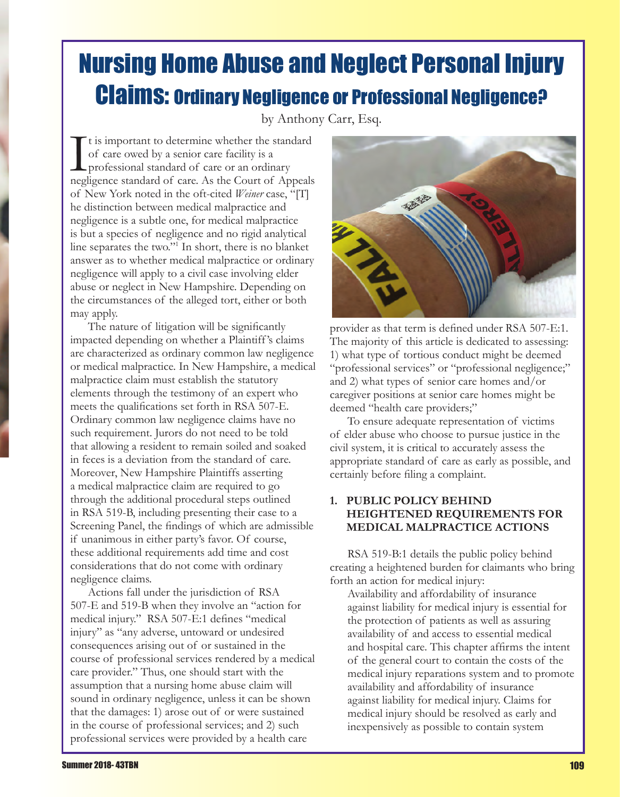# Nursing Home Abuse and Neglect Personal Injury Claims: Ordinary Negligence or Professional Negligence?

by Anthony Carr, Esq.

It is important to determine whether the standard<br>of care owed by a senior care facility is a<br>professional standard of care or an ordinary<br>negligence standard of care. As the Court of Appeals  $\Gamma$ t is important to determine whether the standard of care owed by a senior care facility is a **L** professional standard of care or an ordinary of New York noted in the oft-cited *Weiner* case, "[T] he distinction between medical malpractice and negligence is a subtle one, for medical malpractice is but a species of negligence and no rigid analytical line separates the two."1 In short, there is no blanket answer as to whether medical malpractice or ordinary negligence will apply to a civil case involving elder abuse or neglect in New Hampshire. Depending on the circumstances of the alleged tort, either or both may apply.

The nature of litigation will be significantly impacted depending on whether a Plaintiff 's claims are characterized as ordinary common law negligence or medical malpractice. In New Hampshire, a medical malpractice claim must establish the statutory elements through the testimony of an expert who meets the qualifications set forth in RSA 507-E. Ordinary common law negligence claims have no such requirement. Jurors do not need to be told that allowing a resident to remain soiled and soaked in feces is a deviation from the standard of care. Moreover, New Hampshire Plaintiffs asserting a medical malpractice claim are required to go through the additional procedural steps outlined in RSA 519-B, including presenting their case to a Screening Panel, the findings of which are admissible if unanimous in either party's favor. Of course, these additional requirements add time and cost considerations that do not come with ordinary negligence claims.

Actions fall under the jurisdiction of RSA 507-E and 519-B when they involve an "action for medical injury." RSA 507-E:1 defines "medical injury" as "any adverse, untoward or undesired consequences arising out of or sustained in the course of professional services rendered by a medical care provider." Thus, one should start with the assumption that a nursing home abuse claim will sound in ordinary negligence, unless it can be shown that the damages: 1) arose out of or were sustained in the course of professional services; and 2) such professional services were provided by a health care



provider as that term is defined under RSA 507-E:1. The majority of this article is dedicated to assessing: 1) what type of tortious conduct might be deemed "professional services" or "professional negligence;" and 2) what types of senior care homes and/or caregiver positions at senior care homes might be deemed "health care providers;"

To ensure adequate representation of victims of elder abuse who choose to pursue justice in the civil system, it is critical to accurately assess the appropriate standard of care as early as possible, and certainly before filing a complaint.

### **1. PUBLIC POLICY BEHIND HEIGHTENED REQUIREMENTS FOR MEDICAL MALPRACTICE ACTIONS**

RSA 519-B:1 details the public policy behind creating a heightened burden for claimants who bring forth an action for medical injury:

Availability and affordability of insurance against liability for medical injury is essential for the protection of patients as well as assuring availability of and access to essential medical and hospital care. This chapter affirms the intent of the general court to contain the costs of the medical injury reparations system and to promote availability and affordability of insurance against liability for medical injury. Claims for medical injury should be resolved as early and inexpensively as possible to contain system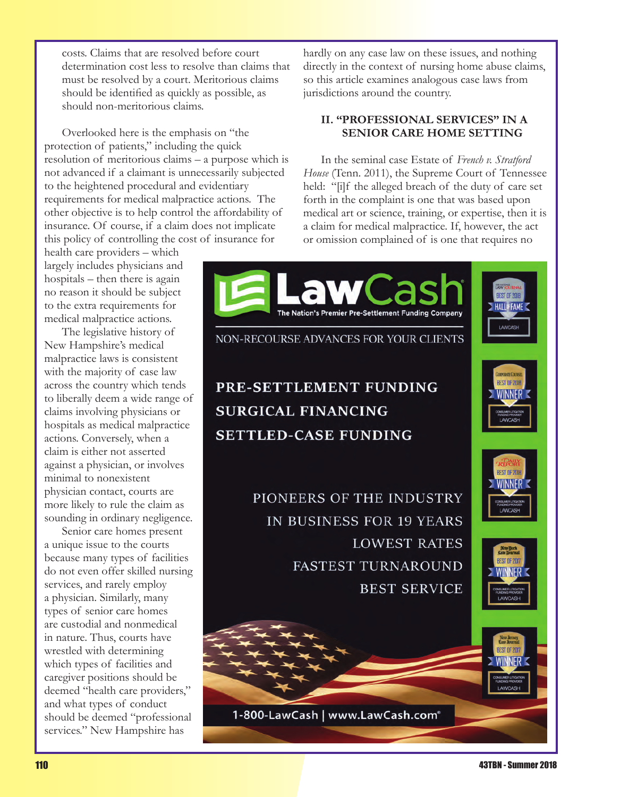costs. Claims that are resolved before court determination cost less to resolve than claims that must be resolved by a court. Meritorious claims should be identified as quickly as possible, as should non-meritorious claims.

Overlooked here is the emphasis on "the protection of patients," including the quick resolution of meritorious claims – a purpose which is not advanced if a claimant is unnecessarily subjected to the heightened procedural and evidentiary requirements for medical malpractice actions. The other objective is to help control the affordability of insurance. Of course, if a claim does not implicate this policy of controlling the cost of insurance for

health care providers – which largely includes physicians and hospitals – then there is again no reason it should be subject to the extra requirements for medical malpractice actions.

The legislative history of New Hampshire's medical malpractice laws is consistent with the majority of case law across the country which tends to liberally deem a wide range of claims involving physicians or hospitals as medical malpractice actions. Conversely, when a claim is either not asserted against a physician, or involves minimal to nonexistent physician contact, courts are more likely to rule the claim as sounding in ordinary negligence.

Senior care homes present a unique issue to the courts because many types of facilities do not even offer skilled nursing services, and rarely employ a physician. Similarly, many types of senior care homes are custodial and nonmedical in nature. Thus, courts have wrestled with determining which types of facilities and caregiver positions should be deemed "health care providers," and what types of conduct should be deemed "professional services." New Hampshire has

hardly on any case law on these issues, and nothing directly in the context of nursing home abuse claims, so this article examines analogous case laws from jurisdictions around the country.

### **II. "PROFESSIONAL SERVICES" IN A SENIOR CARE HOME SETTING**

In the seminal case Estate of *French v. Stratford House* (Tenn. 2011), the Supreme Court of Tennessee held: "[i]f the alleged breach of the duty of care set forth in the complaint is one that was based upon medical art or science, training, or expertise, then it is a claim for medical malpractice. If, however, the act or omission complained of is one that requires no

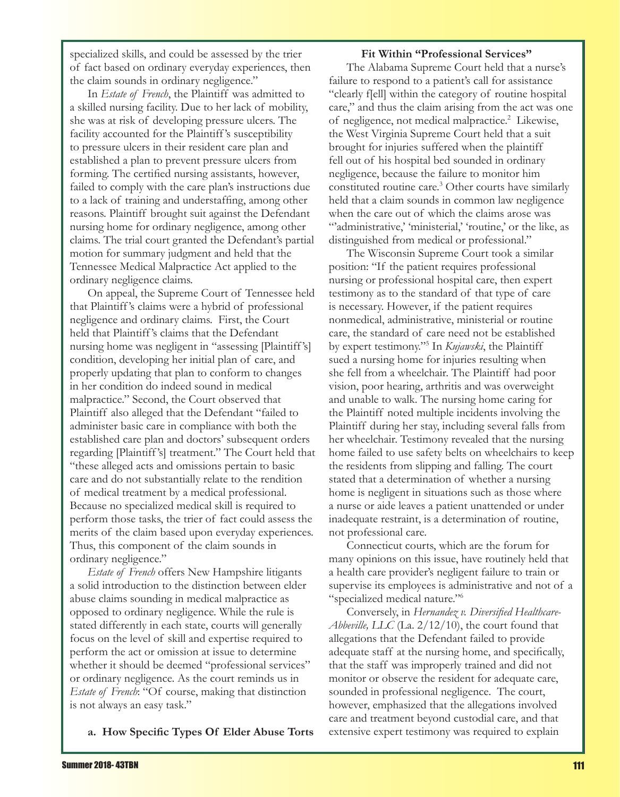specialized skills, and could be assessed by the trier of fact based on ordinary everyday experiences, then the claim sounds in ordinary negligence."

In *Estate of French*, the Plaintiff was admitted to a skilled nursing facility. Due to her lack of mobility, she was at risk of developing pressure ulcers. The facility accounted for the Plaintiff 's susceptibility to pressure ulcers in their resident care plan and established a plan to prevent pressure ulcers from forming. The certified nursing assistants, however, failed to comply with the care plan's instructions due to a lack of training and understaffing, among other reasons. Plaintiff brought suit against the Defendant nursing home for ordinary negligence, among other claims. The trial court granted the Defendant's partial motion for summary judgment and held that the Tennessee Medical Malpractice Act applied to the ordinary negligence claims.

On appeal, the Supreme Court of Tennessee held that Plaintiff 's claims were a hybrid of professional negligence and ordinary claims. First, the Court held that Plaintiff 's claims that the Defendant nursing home was negligent in "assessing [Plaintiff 's] condition, developing her initial plan of care, and properly updating that plan to conform to changes in her condition do indeed sound in medical malpractice." Second, the Court observed that Plaintiff also alleged that the Defendant "failed to administer basic care in compliance with both the established care plan and doctors' subsequent orders regarding [Plaintiff 's] treatment." The Court held that "these alleged acts and omissions pertain to basic care and do not substantially relate to the rendition of medical treatment by a medical professional. Because no specialized medical skill is required to perform those tasks, the trier of fact could assess the merits of the claim based upon everyday experiences. Thus, this component of the claim sounds in ordinary negligence."

*Estate of French* offers New Hampshire litigants a solid introduction to the distinction between elder abuse claims sounding in medical malpractice as opposed to ordinary negligence. While the rule is stated differently in each state, courts will generally focus on the level of skill and expertise required to perform the act or omission at issue to determine whether it should be deemed "professional services" or ordinary negligence. As the court reminds us in *Estate of French*: "Of course, making that distinction is not always an easy task."

**a. How Specific Types Of Elder Abuse Torts** 

#### **Fit Within "Professional Services"**

The Alabama Supreme Court held that a nurse's failure to respond to a patient's call for assistance "clearly f[ell] within the category of routine hospital care," and thus the claim arising from the act was one of negligence, not medical malpractice.<sup>2</sup> Likewise, the West Virginia Supreme Court held that a suit brought for injuries suffered when the plaintiff fell out of his hospital bed sounded in ordinary negligence, because the failure to monitor him constituted routine care.3 Other courts have similarly held that a claim sounds in common law negligence when the care out of which the claims arose was "administrative,' 'ministerial,' 'routine,' or the like, as distinguished from medical or professional."

The Wisconsin Supreme Court took a similar position: "If the patient requires professional nursing or professional hospital care, then expert testimony as to the standard of that type of care is necessary. However, if the patient requires nonmedical, administrative, ministerial or routine care, the standard of care need not be established by expert testimony."5 In *Kujawski*, the Plaintiff sued a nursing home for injuries resulting when she fell from a wheelchair. The Plaintiff had poor vision, poor hearing, arthritis and was overweight and unable to walk. The nursing home caring for the Plaintiff noted multiple incidents involving the Plaintiff during her stay, including several falls from her wheelchair. Testimony revealed that the nursing home failed to use safety belts on wheelchairs to keep the residents from slipping and falling. The court stated that a determination of whether a nursing home is negligent in situations such as those where a nurse or aide leaves a patient unattended or under inadequate restraint, is a determination of routine, not professional care.

Connecticut courts, which are the forum for many opinions on this issue, have routinely held that a health care provider's negligent failure to train or supervise its employees is administrative and not of a "specialized medical nature."6

Conversely, in *Hernandez v. Diversified Healthcare-Abbeville, LLC* (La. 2/12/10), the court found that allegations that the Defendant failed to provide adequate staff at the nursing home, and specifically, that the staff was improperly trained and did not monitor or observe the resident for adequate care, sounded in professional negligence. The court, however, emphasized that the allegations involved care and treatment beyond custodial care, and that extensive expert testimony was required to explain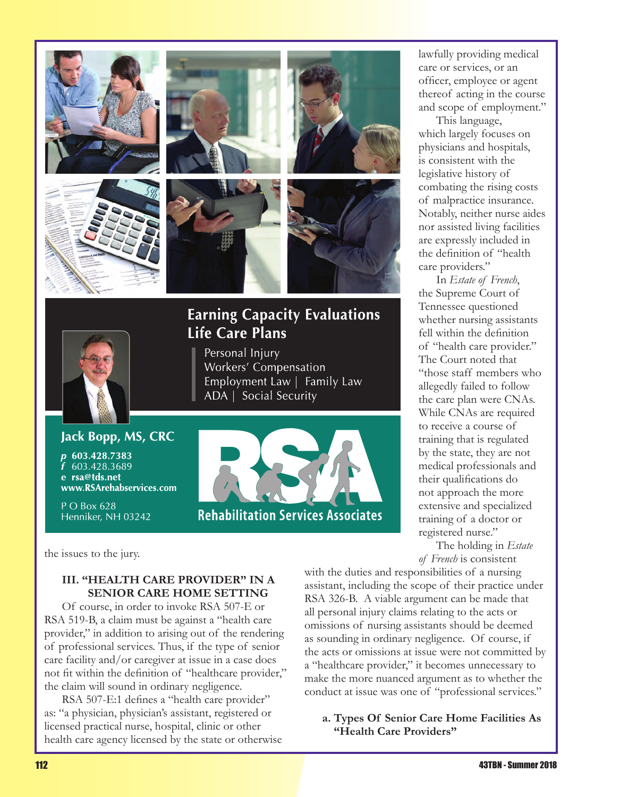

## **Earning Capacity Evaluations Life Care Plans**



Personal Injury Workers' Compensation Employment Law | Family Law ADA | Social Security

### Jack Bopp, MS, CRC

603.428.7383 603.428.3689 e rsa@tds.net www.RSArehabservices.com

P O Box 628 Henniker, NH 03242



the issues to the jury.

### **III. "HEALTH CARE PROVIDER" IN A SENIOR CARE HOME SETTING**

Of course, in order to invoke RSA 507-E or RSA 519-B, a claim must be against a "health care provider," in addition to arising out of the rendering of professional services. Thus, if the type of senior care facility and/or caregiver at issue in a case does not fit within the definition of "healthcare provider," the claim will sound in ordinary negligence.

RSA 507-E:1 defines a "health care provider" as: "a physician, physician's assistant, registered or licensed practical nurse, hospital, clinic or other health care agency licensed by the state or otherwise lawfully providing medical care or services, or an officer, employee or agent thereof acting in the course and scope of employment."

This language, which largely focuses on physicians and hospitals, is consistent with the legislative history of combating the rising costs of malpractice insurance. Notably, neither nurse aides nor assisted living facilities are expressly included in the definition of "health care providers."

In *Estate of French*, the Supreme Court of Tennessee questioned whether nursing assistants fell within the definition of "health care provider." The Court noted that "those staff members who allegedly failed to follow the care plan were CNAs. While CNAs are required to receive a course of training that is regulated by the state, they are not medical professionals and their qualifications do not approach the more extensive and specialized training of a doctor or registered nurse."

The holding in *Estate of French* is consistent

with the duties and responsibilities of a nursing assistant, including the scope of their practice under RSA 326-B. A viable argument can be made that all personal injury claims relating to the acts or omissions of nursing assistants should be deemed as sounding in ordinary negligence. Of course, if the acts or omissions at issue were not committed by a "healthcare provider," it becomes unnecessary to make the more nuanced argument as to whether the conduct at issue was one of "professional services."

**a. Types Of Senior Care Home Facilities As "Health Care Providers"**